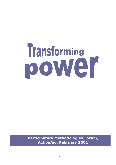# Transforming power

**Participatory Methodologies Forum, ActionAid, February 2001**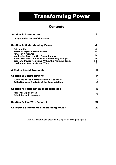# Transforming Power

# **Contents**

| <b>Section 1: Introduction</b>                        | 1                       |
|-------------------------------------------------------|-------------------------|
| <b>Design and Process of the Forum</b>                | $\overline{2}$          |
| <b>Section 2: Understanding Power</b>                 | 4                       |
| <b>Introduction</b>                                   | 4                       |
| <b>Personal Experiences of Power</b>                  | 4                       |
| <b>Power in ActionAid</b>                             | 5                       |
| <b>Monitoring Power in the Forum Plenary</b>          | $\overline{\mathbf{z}}$ |
| <b>Power Dynamics: Views from the Working Groups</b>  | $\boldsymbol{9}$        |
| Diagram: Power Relations Within the Planning Team     | 11                      |
| <b>Linking our Analysis to our Work</b>               | $12 \overline{ }$       |
| <b>A Rights Based Approach</b>                        | 13                      |
| <b>Section 3: Contradictions</b>                      | 14                      |
| <b>Summary of Key Contradictions in ActionAid</b>     | 14                      |
| <b>Reflections and Analysis of the Contradictions</b> | 17                      |
| <b>Section 4: Participatory Methodologies</b>         | 19                      |
| <b>Personal Experiences</b>                           | 19                      |
| <b>Principles and Learnings</b>                       | 20                      |
| <b>Section 5: The Way Forward</b>                     | 22                      |
| <b>Collective Statement: Transforming Power!</b>      | 23                      |

N.B. All unattributed quotes in this report are from participants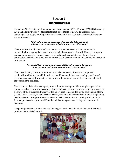# Section 1. Introduction

The ActionAid Participatory Methodologies Forum (January  $27<sup>th</sup>$  - February  $3<sup>rd</sup>$  2001) hosted by AA Bangladesh attracted 44 participants from 20 countries. This was an unprecedented gathering of key people working at different levels in different vertical or horizontal functions across ActionAid.

#### *"Only with a deep awareness of power at all times and at all levels can we use participatory processes effectively"*

The forum was initially conceived as a space to share experiences around participatory methodologies, adapting them to the new strategic direction of ActionAid. However, it rapidly evolved into a space for the analysis of power relationships, with the recognition that all participatory methods, tools and techniques can easily become manipulative, extractive, distorted or impotent.

#### *"ActionAid is in a change process but it is only possible to change if we are aware of power dynamics and relationships."*

This meant looking inwards, at our own personal experiences of power and at power relationships within ActionAid, in order to identify contradictions and develop new "lenses", sensitive to power, with which to see our work with our partners, our allies and crucially with the poor and the excluded.

This is not a traditional workshop report as it does not attempt to offer a simple sequential or chronological overview of proceedings. Rather it aims to present a synthesis of the key ideas and a flavour of the experience. Moreover, this report has been compiled by the core planning team (David, Dede, Dharitri, Irûngû, Keshav, Martin, Meenu and Nico) and is very much the planning team's **collective interpretation** of the Forum. We are conscious that each participant in the forum experienced the process differently and that no report can ever hope to capture such diversity.

The photograph below gives a sense of the range of participants involved (and a full listing is provided in the related papers).

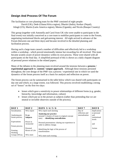#### **Design And Process Of The Forum**

The facilitation or core planning team for the PMF consisted of eight people: David (UK), Dede (Ghana/Africa region), Dharitri (India), Keshav (Nepal), Irûngû (US), Martin (Latin America region), Meenu (Uganda), and Nicola (Basque Country)

This group (together with Antonella and Carol from UK who were unable to participate in the final event) was initially conceived as a core team to mobilise participants to come to the Forum, negotiating institutional blocks and galvanising interest. All eight arrived in advance of the Forum (between one and three days) and became involved in the detailed planning and facilitation process.

Having such a large team caused a number of difficulties and effectively led to a workshop within a workshop - which proved emotionally intense but rewarding for all involved. This team became acutely aware of power dynamics within its own process. These were shared with all participants on the final day. A simplified portrayal of this is shown as a daily chapatti diagram of personal power relations in the related papers.

Many of the debates in the planning team revolved around the tensions between a **process / experiential approach vs**. **content / output approach.** Although these tensions persisted throughout, the core design of the PMF was a process / experiential one in which we used the dynamics of the forum process itself as a basis for analysis and reflection on power.

The forum process can be summarised in the table below which was shared with participants on day one and which, to a large extent, was followed. This process involved establishing a strong set of "lenses" on the first two days:

- lenses which gave a sensitivity to power relationships of different forms (e.g. gender, hierarchy, knowledge and information, culture)
- lenses which put us in the picture as subjects (rather than pretending that we are neutral or invisible observers outside of the process).

| DAY <sub>1</sub>                 | DAY 2                      | DAYS $3/4/5/6$                                                                                                    | DAY <sub>7</sub>                  | DAY 8                                         |
|----------------------------------|----------------------------|-------------------------------------------------------------------------------------------------------------------|-----------------------------------|-----------------------------------------------|
| Socialisation:                   | WGs report                 | WGs report each morning                                                                                           | Day of                            | Implications                                  |
| Analysing pre-<br>forum process; | Us as<br><b>Subjects</b>   | Analysing our practice<br>(around 5 clusters of issues in original concept)<br>note) - identifying contradictions | reflection and<br>internalisation | at personal<br>and<br>institutional<br>levels |
| Expectations<br>Forum process;   | Power in<br>ActionAid      | Personal presentations: sharing our experience in<br>order to address change.                                     |                                   | and                                           |
| Forming<br>Working               | Personal<br>Rivers of Life | Identifying the logic of the process of<br>transformation                                                         |                                   | Action                                        |
| Groups $(WGs)$ ;                 | WG <sub>s</sub> meet       | WGs meet each evening                                                                                             |                                   |                                               |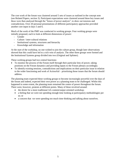The core work of the forum was clustered around 5 sets of issues as outlined in the concept note (see Related Papers, section 3). Participant expectations were clustered around these key issues and these were then analysed through the "lenses of power analysis", to draw out tensions and contradictions. Over 20 personal presentations of different participatory approaches provided another core input in days 5 and 6.

Much of the work of the PMF was conducted in working groups. Four working groups were initially proposed, each to look at different dimensions of power:

- Gender
- Culture / inter-cultural relations
- Institutional systems, structures and hierarchy
- Knowledge and information

At the start of the workshop, no one wished to join the culture group, though later observations showed that this could have led to a rich vein of analysis. The other three groups were formed and the Institutional Systems group divided into two (Original and Splinter).

These working groups had two central functions:

- To monitor the process of the Forum itself through their particular lens of power, taking positions on the Forum dynamics and providing inputs to the Forum plenary accordingly;
- To identify existing tensions, contradictions and implications on their particular issue in relation to the wider functioning and work of ActionAid – prioritising those issues that the forum should address.

The planning team expected these working groups to become increasingly powerful over the days of the forum and indeed, expected their own power as a planning team to be challenged. Whilst this happened to some extent, the planning team remained the centre of power throughout the forum. There were, however, protests at different points. Many of these revolved around:

- the desire for a more traditional AA content/output oriented workshop;
- a feeling that we were not spending enough time looking at participatory methodologies per se; or
- a concern that we were spending too much time thinking and talking about ourselves.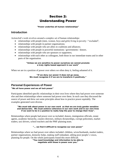# Section 2: Understanding Power

**"Power underlies all human relationships"**

#### **Introduction**

ActionAid's work revolves around a complex set of human relationships:

- relationships with people (men, women, boys and girls) living in poverty / "excluded";
- relationships with people in partner organisations;
- relationships with people who are allies in coalitions and alliances;
- relationships with people in powerful institutions / governments / donors.
- relationships with people who are sponsors or supporters;
- relationships with each other as colleagues, both those in our immediate teams and in other parts of the organisation.

#### **"Unless we are sensitive to power ourselves we cannot promote a truly rights based approach in our work"**

When we are in a position of power over others we often deny it, feeling ashamed of it.

#### **"If we deny our power it does not go away. We must recognise it if we are to transform it positively."**

#### **Personal Experiences of Power**

#### **"We all have power and we all lack power"**

Participants identified specific relationships in their own lives where they had power over someone else and then relationships where someone had power over them. In each case they discussed the source of power and drew out some principles about how to practice power equitably. The examples generated were diverse.

#### **"We must talk about power in our own work so that we are truly gender sensitive and democratic. We must achieve coherence in our own work and in our own lives if we want to be in a position to really help the poor to change their lives".**

Relationships where people had power over us included: donors, immigration officials, estate agents, academic hierarchy, country directors, military dictatorships, corrupt policemen, market traders, taxi drivers, school teachers and the PMF planning team.

#### **"… we find it difficult to recognise our own power"**

Relationships where we had power over others included: children, wives/husbands, market traders, partner organisations, domestic helps, making staff redundant, editing poor people's voices, planning for people. On the whole participants found this more difficult.

**"You need knowledge and information to be able to negotiate with those in power over you."**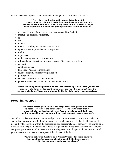Different sources of power were discussed, drawing on these examples and others:

#### **"The child's relationship with parents is fundamental. For most of us, as children, it is the first experience of power and it is always abused - whether in small or big ways. It is a constant struggle not to reproduce that when we grow up and have children ourselves."**

- internalised power (where we accept position/condition/status)
- institutional positions / hierarchy
- $\bullet$  age
- sex
- money
- time controlling how others use their time
- space how things are laid out or organised
- tradition
- experience
- understanding systems and structures
- rules and regulations (and the power to apply / interpret / abuse them)
- persuasion
- emotional power
- knowledge / access to information
- level of support / solidarity / organisation
- political power
- contacts / proximity to power brokers
- power to frame debates and power to edit conclusions!

**"There is no way of living without power – it becomes a problem when you cannot change or challenge it. You can't eliminate or deny it – but you must have the means to challenge/ transform/ change it. The key is to make it open not closed"**

#### **Power in ActionAid**

#### **"The main reason people do not challenge those with power over them is because of fear of the consequences. If we are to break that we need to build relationships of trust. People have to be confident that acting or speaking out honestly will not lead to negative repercussions".**

We did two linked exercises to start an analysis of power in ActionAid. First we placed a pot symbolising power in the middle of the room and participants were asked to decide how much power they felt they held within the organisation and accordingly place themselves as near to, or as far away from the pot. In the second exercise the "power pot" was placed at one end of the room and participants were asked to make one line leading away from the pot, with the most powerful person nearest the pot and the least powerful at the end of the line.

#### **"Power is not static. Working as a Project Officer I felt more powerful than as a Director because when I was a PO I had more contact with the community and more knowledge."**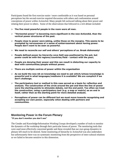Participants found the first exercise easier / more comfortable as it was based on personal perceptions but the second exercise required discussion with others and confrontation around conceptions of power within ActionAid. Many people felt awkward talking about their power and relating their power to others. Some of the observations that followed in a rich debate included:

- **The five most powerful people in the room were all men.**
- **"Horizontal power" is becoming more significant in the new ActionAid, than the vertical power structures of the past.**
- **People close to power were joking, unlike those on the margins. This seems to be prompted by nervousness or a sense of embarrassment about having power. People don't want to be seen as powerful.**
- **We need to reconcile our self and others' perceptions of us. Break dishonesty!**
- **People defined power by hierarchy once Salil was positioned by the pot, but power could be with the regions/countries/field - contact with the poor;**
- **People are denying their power and this can result in distorting our capacity to deal with communities/people without power.**
- **There are multiple centres of power within the organisation**
- **As we build the new AA on knowledge we need to ask which/whose knowledge is powerful and in what languages/mediums it is available? We are complicit if we don't challenge.**
- **The participatory tool or method in this case served as a basis for reflection and analysis. The construction of the circle around the pot and then the line of power were the starting points to stimulate debate, not the end point. Too often we treat the construction, using a participatory tool (e.g. a map or matrix) as an end in itself, rather than as the starting point for more detailed analysis.**
- **Perceptions of power can be different but we must move towards recognising and accepting our own power, especially when dealing with partners and communities.**

#### **Monitoring Power in the Forum Plenary**

#### **"If you don't monitor you don't see"**

The Gender and Knowledge/Information Working Groups developed a number of tools to monitor the dynamics of the workshop through their particular lenses of power. The monitoring tools that were used most effectively concerned gender and these revealed that our own group dynamics in plenary left much to be desired. Some monitoring of hierarchy in ActionAid was also undertaken but unfortunately there was no systematic monitoring from the perspective of inter-cultural relations so we failed to become sensitive to this dimension.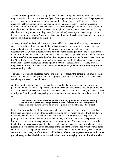A **table of participants** was drawn-up by the Knowledge Group, and each time someone spoke they received a tick. The scores were analysed from a gender perspective and from the perspectives of diversity of input - looking at regional interventions, input from the different levels of the organisation (International Directors, Country Directors, DA Managers, Function Managers, Partners, and Field Workers). People were classified as either High, Middle, or Low, according to their placements in the earlier power exercise (though this labelling led to some reactions). They also developed a system of **warning cards** (yellow and red) to warn people against speaking too fast or with too much jargon. Notes were also taken of interventions based on examples or stories to prevent us getting too abstract or detached.

An analysis based on these indicators was presented back to plenary each morning. There were concerns raised that simplistic quantitative indicators on the number of times women spoke were premised on the idea that speaking meant you were empowered (and silence meant disempowerment), which is not always the case. They also missed qualitative factors such as the length of interventions or the seriousness with which different people were heard. Nevertheless *the tools showed that men repeatedly dominated in the plenary and that the "lowest" voices were the least heard*. Only when "gender warnings" were raised, and facilitators became conscious of an imbalance of contributions, was a more equitable spread of voices heard. It was very clear that *we only became sensitive to some serious power issues when we systematically monitored for them on an ongoing basis*.

The Gender Group also developed monitoring tools, most notably the gender mood-ometer which tracked the extent to which participants (disaggregated as men and women) felt that gender issues were being addressed on a daily basis.

Another monitoring tool was used on a daily basis by the planning team to document whether people felt empowered or disempowered within the forum and whether they had a high or low level of control over the process of the forum. These were indicated on an open scale (from top to bottom of a flipchart), with participants placing their own unique mark / symbol to show how they felt each day.

#### **"If we cannot talk about our own power – directly, personally and self-critically – we have no right to encourage others, whether communities or marginalised groups, to use power analysis as an under-pinning of a rights based approach."**

Reviewing these at the end of the Forum some clear trends were observed. After the second day there were no serious lows on either indicator except on day 5 – which coincided with the day on which the planning team itself had its most serious crisis. At first there was a disparity, with participants feeling empowered but acknowledging they had little control over the process of the Forum. Later there was a stronger convergence between the two. There were some concerns that this tool was not used very systematically, so people were mechanical – sometimes being sheep and placing their own marks around the same area as the first mark. Nevertheless, whilst overall trends could be observed the planning team felt that each participant's individual journey was different and that too much analysis of the trends could hide this. **There are dangerous tendencies in some participatory tools - which lead to generalisation, thus submerging or losing individual views**.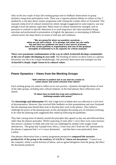Only on the last couple of days did working groups start to feedback observations on group dynamics using more participatory tools. There was a vigorous plenary debate on culture on Day 7, sparked by a role-play about country programme staff visiting the London office of ActionAid. This exposed a deep level of cultural insensitivity which, though exaggerated in some respects, was true enough to have the plenary captivated. Many issues of cultural insensitivity emerged, such as pressures to conform to specific behaviour or to work long hours; the value attached to being articulate and professional in presentation in English; the ignorance or stereotyping of different cultural norms; the deep silence on issues of staff pay and conditions.

#### **"We are powerful when we question ourselves … when we are self-critical. It is strange, but when we can really list and face our problems we have a new source of power. One of the rarest qualities in organisations and one of the greatest strengths of ActionAid is in its capacity for critical analysis"**

**There were passionate condemnations of the way in which ActionAid develops communities at the cost of under-developing its own staff.** The breaking of silence on these issues in a plenary discussion was felt to be a major breakthrough. One powerful observation that emerged was that **ActionAid is deeply Anglo-Saxon in its cultural values**.

#### **Power Dynamics – Views from the Working Groups**

#### **"Self-criticism is positive but it can also be a tactic to retain power and avoid criticism from others"**

Each working group was asked to reflect on its own practice / dynamics through the lenses of each of the other groups, including inter-cultural relations. In the final plenary these reflections were shared.

#### **"It takes time to build the trust and confidence to challenge people with power"**

The **Knowledge and Information** WG had a high level of debate that was reflected in a rich level of documentation. However, they received little feedback on their presentations and were frustrated that the planning team denied them time to develop their work in the plenary. They failed to challenge the power of the planning team on this and despite discussing acts of resistance (refusing to do what the planning team suggested) they ended up following the guidelines.

They had a strong sense of identity around the principles they agreed on day one and followed these rather than the plenary principles. Whilst respecting of each other's views there were some tensions. One person's tendency to think and write fast was challenged by another (who sought visual alternatives). The group had 3 people from Africa, 2 from Asia and 3 from the UK. Questioned by the plenary it appeared that 3 or 4 voices dominated … and that these were particularly from London.

One plenary observation from a country programme perspective **compared the excessive productivity of the group to the tendency of AAUK to "churn out documents**". Control over the computer, whilst a useful division of labour, and an agreed delegation from the group, did affect the documents produced.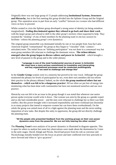Originally there was one large group of 15 people addressing **Institutional Systems, Structures and Hierarchy**, but in the first meeting this group divided into the Splinter Group and the Original group. This separation arose in part from an early "conflict" between two women who had different views on how to proceed.

Whilst created in crisis the Splinter group developed a strong sense of identity (as being somehow marginalised). **Feeling discriminated against they refused to go back and share their work** with the larger group and refused to shift to the other group's territory when requested to help. They resented the "stealing" of one of their members by the planning team in one key session (to facilitate / referee the planning group's own dynamics).

The original group meanwhile was dominated initially by one or two people from Asia but Latin American English "contaminated" the group as they began to "vinculate" (link / connect / articulate) more. The initial focus on "defining participation" was not done in a consensual way but most group members felt reluctant to challenge the dominant voices. **The richest debates emerged when the group began to discuss culture and power in ActionAid** – which brought a new level of passion to the group and to the wider plenary.

#### **"Language is one of the most fundamental sources of power in ActionAid. We must have a more serious commitment to translation and interpreting, and key organisational processes must be conducted multilingually if we want to challenge and change this"**

In the **Gender Group** women were in a minority but proved to be very vocal. Although the group monitored the plenary for levels of participation by sex, even their own members did not reform their practice in the plenary debates! Indeed, on the whole **the group monitored others but not themselves – which was felt to be a dangerous practice**! All too often we put lots of energy into monitoring what has been done with communities but have not monitored ourselves and our own practice.

Hierarchy was not felt to be an issue in the group though it was noted that whenever one senior person spoke everyone would write it down. One woman was seen by the group as a gender expert and so she had considerable power – and the men were reluctant to challenge her so there was little conflict. But this power brought with it increased responsibility and more workload (not dissimilar to so many projects that intend to empower women but can leave them overburdened). On the whole the group was united most of all in a fight against the planning team and the never-ending imposition of new tasks. But despite this unity in oppression, the group did not directly challenge the planning team.

#### **"All the people who presented feedback from the working groups on their own power dynamics came from the powerful. We are not fully hearing the other version"**

The **Planning Team's** own analysis of its power dynamics is illustrated in diagram opposite. This is open for others to analyse but some key observations were made about the domination by 3 men in the early stages: David, Irûngû and Nicola. David had power from his role as convenor and Nicola/Irungu initially bonded over the focus on power and later conflicted over how precisely to move forward and when to "give up power".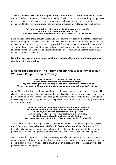**There was tension over whether to "give power" or wait until it was taken**. Something given can be taken back. Something taken is not so easily taken back. As it was the working groups never really tried to take power and there were some strong feelings that people did not want to take power – and that in fact the **planning role was a responsibility more than a source of power**.

#### **"We felt comfortable criticising the planning group, the powerful, but not in criticising other working groups. It is easy to criticise the powerful and much harder to criticise equals".**

Later tensions in the group brought Meenu and Dede into the forefront, with Dharitri, Keshav and Martin all integrating further. At different moments over the eight days all the different members of the team were both relatively powerless or powerful. It was noted that all the conflicts that surfaced were either between men and other men, or between men and women, but never between women and other women. By the end, with a functional division of labour around different tasks, a high level of equity was achieved.

**By talking very openly about the personal power relationships and dynamics the group was able to break a major taboo.**

#### **Linking The Process of The Forum and our Analysis of Power to our Work with People Living in Poverty**

**"Now we know what it is like to be participated at. Participatory processes can disempower people. They risk wasting the time of people who have less time to waste than us. We got impatient with the planning team and communities get impatient with us."**

ActionAid is going through a fundamental process of change from needs to rights based work. This change is not easy. It goes beyond changing documents and discourse. Time and space is needed for people to reflect on and internalise this change. The forum was one space to do this. Although we focused very much internally, we found, in the process of the forum there were many parallels with our work on the ground.

> **"In all our work we feel under the pressure of time to deliver – to produce an output – to write a plan or produce a document. This always leads us to compromise on the process, which easily leads to a loss of ownership, to simplification, to blindness, to diversity and even to falsification. We need more time if we are to reflect seriously as ALPS expects".**

At the centre of all our thinking in the new rights based approach should be the question, *"how much have we changed power relations in favour of people living in poverty."* It is through analysing power relationships that we get to see beyond the symptoms to the causes of poverty and it is in changing these relationships that we can achieve sustainable development.

As in our own forum process it is clear that *we only see what we monitor* and we don't see what we do not monitor. Unless we are looking through lenses that are sensitive to the various dimensions of power in people lives we will not see them. If we are even partially blind we risk reinforcing the powerlessness of some groups.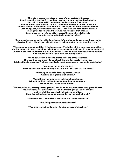**"There is pressure to deliver on people's immediate felt needs. People came here with a felt need for exposure to new tools and techniques. Not delivering on that immediate need generated frustration. Communities expect things of us and if we do not deliver it causes tensions – and we need to learn how to deal with that. We expected a traditional workshop – with an agenda, with structured sessions – but we have been told to develop the agenda together and there was resistance to that change. Sometimes we have to be able to resist the immediate felt needs if we are to work on strategic needs or rights."**

**"Poor people assume we have the knowledge, information and answers and want to be directed by us – like we participants wanted to be directed by the planning team."**

**"The planning team denied that it had an agenda. We do that all the time in communities – starting apparently open-ended participatory processes when really we do have an agenda all the time. We have objectives and strategies which may be out of synch with communities. How can we become more open and transparent?"**

**"In all our work we need to create a feeling of togetherness. It takes time and energy to construct this and for people to open up. It takes time to organise. We have to actively construct spaces for people to participate."**

**"Numbers can be mis-leading. Three women and one man may speak but the man may still dominate"**

> **"Working on a needs based approach is easy. Working on rights is a lot harder."**

**"Sometimes you need crisis to bring about change. Without conflict – without challenging the planning team we would not have moved forward."**

**"We are a diverse, heterogeneous group of people and all communities are equally diverse. We must recognise different voices and different groups in all our work and stop talking generically about communities. There is no simple recipe or solution which can be applied to all."**

**"The power is in the analysis. We retain the power to analyse"**

**"Breaking norms and habits is hard"**

**"You always need leadership – to give a sense of direction."**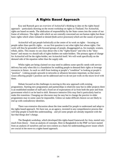# A Rights Based Approach

Koy and Ramesh gave an overview of ActionAid's thinking to date on the rights based approach – particularly drawing on the recent workshop on rights in Thailand. For ActionAid, rights are based on needs. The abdication of responsibility by the State comes into the centre of our frame of reference. The rights with which we are centrally concerned are not human rights but those basic rights which when violated or denied (both active processes) which are the causes of poverty.

ActionAid will put people holistically at the centre of its work on rights – focusing on people rather than specific rights – so our first question is not what rights but whose rights. Our work will thus be grounded with focused groups of people, disaggregated as, for example, women, tribals, dalits. This means we are clear about who is the "rights-bearer" and who is the "dutybearer" and means we should talk of rights-holders not stake-holders. The primary agent of change for ActionAid will be the rights-holder, not ActionAid itself. We will work specifically on the demand side of the equation rather than the supply side.

Whilst rights are being claimed we may need to address some specific needs with service delivery but only when this is a foundation for enabling people to demand their rights or leverage resources in future. As such we shift from looking at people's "condition" to looking at people's "position". Linking people upwards in networks or alliances becomes important, so that macro issues affecting people's position can be addressed and we do not just work on the micro level with them.

Debate focused on the challenges in moving to this new approach with existing programmes. Starting new programmes and partnerships is relatively easy but in older projects there is an established mindset of staff and a fixed set of expectations of us from both the poor and from government which it an be hard to shift. Resource intensive DAs may find it particularly hard to make this transition. Changing our discourse may be easy but to change the practice in older programmes may in some cases be impossible. Unless we make difficult choices we are likely to end up with contradictory identities.

There was extensive discussion about the time needed for people to understand and adapt to the rights based approach. We have not, as an agency, invested in any comprehensive process that will help people to build this understanding – and yet some people are already impatient with the fact that things don't change.

The Bangkok workshop, which developed this rights-based framework for Asia, started very much from theory – from an analysis of concepts. Here in Bangladesh in the PMF we have started from an analysis of ourselves and our own context as a basis for understanding power issues which are crucial in the move to a rights based approach.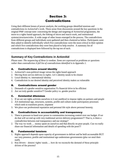# Section 3: Contradictions

Using their different lenses of power analysis, the working groups identified tensions and contradictions in ActionAid's work. These arose from discussions around the key questions in the original PMF concept note: concerning the design and targeting of ActionAid programmes, the move to a rights based approach, the linking of micro and macro work, and institutional systems/structures/roles. A wide range of other issues emerged in the process. The contradictions from different groups and individuals were gathered and then clustered as below. Participants were then asked to identify individually which five contradictions were the most critical in their opinion and which five contradictions they were best placed to help resolve. A summary list of contradictions is displayed here followed by the top ten of each.

## **Summary of Key Contradictions in ActionAid**

*Please note: The sequencing of these is random. Some are expressed as problems or questions rather than contradiction A full list of contradictions identified is in Appendix 1.*

#### A. Contradictions around identity

- 1. ActionAid's non-political image versus the rights based approach
- 2. Moving from service delivery to rights: AA's identity needs to be clearer
- 3. Local identity vs. international identity
- 4. Contradiction in our desired identity and perceived identity makes us vulnerable

#### B. Contradictions around gender

- 1. Demands of a gender sensitive organisation Vs financial drive to be efficient
- 2. Are we truly gender sensitive?? Gender policy vs. gender practice

#### C. Existential dilemmas

- 1. If we are not rights activists ourselves is it not unethical to impose rights on partners and people
- 2. AA institutional ego, structures, systems, profile and culture make participatory processes which seek to transform power, impotent
- 3. We place our professional reputation and personal life style above personal honesty.

#### D. Contradictions in accountability and transparency

- 1. There is pressure to hand over power to communities increasing control over our budget. If we do that will we end up with very traditional service delivery programmes?? That is, is there a contradiction between real transparency and our strategy?
- 2. The way we work … money spent on ourselves and that directly on poor people. Can we really share our financial information and details of spending with the poor??

#### E. Fundamental tensions

- 1. Rights approach depends upon capacity of government to deliver and be held accountable BUT our very presence, profile and institutional ego undermines governments (plus we steal their staff).
- 2. Key drivers donors/ rights/ needs…. how do we reconcile the demand of these principle drivers of the process?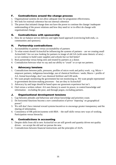#### F. Contradictions around the change process

- 1. Organisational systems do not allow adequate time for programme effectiveness.
- 2. We look for external coherence but not internal coherence
- 3. The power that initiated change does not have the power to continue the change/ inadequate understanding of the power relations and how they need to/ or in effect do change with organisational change.

#### G. Contradictions with sponsorship

1. How do we balance service delivery and rights based approach (convincing both ends, i.e. communities and sponsors).

#### H. Partnership contradictions

- 1. Accountability to partners versus accountability of partners
- 2. To what extent should ActionAid be influencing the systems of partners are we creating small ActionAids? Are we now looking for partners in image of old AA (with some rhetoric of new) – so we continue to build water supplies and schools but we feel better?
- 3. Real partnership versus being seen and treated by partners as a donor.
- 4. Contradiction between what we say and our ability to "crush" or co-opt our partners.

#### I. Advocacy tensions

- 1. Contradictions between pulls, pressures, profiles of micro work and policy work. e.g. Micro = empower partners, indigenous knowledge, use of chemical fertilizers / seeds; Macro = profile of AA, formal knowledge, don't use chemical fertilizer and GM seeds.
- 2. We want people monitoring the government but not monitoring us. We want people represented in government decision-making processes – but are they in ActionAid?
- 3. Advocacy by and large should be based upon our grassroots experience but isn't.
- 4. Oral versus a written culture: AA uses literacy to assert its power, to control knowledge and information – excluding the poor, and through jargon, excluding partners.

#### J. Organisational development tensions

- 1. Gap between attitudes and behaviour and whose knowledge and priorities count.
- 2. Do horizontal functions become a new centralisation of power 'imposing' on geographical power?
- 3. We still don't have internal reward systems/incentives to encourage greater transparency and the sharing of information.
- 4. Consistency of HR policies/systems with RBA the staff skills versus new ways of working. Participation versus hierarchy.

#### K. Contradictions in accounting

- 1. Despite shifts from old to new ActionAid we are still growth and quantity driven not quality driven – we accept the old and we pursue the new.
- 2. Contradictions between financial instructions and the principles of ALPs.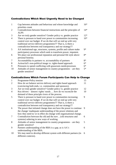#### Contradictions Which Most Urgently Need to be Changed

| $\mathbf{1}$             | Gap between attitudes and behaviour and whose knowledge and         | $16*$ |
|--------------------------|---------------------------------------------------------------------|-------|
|                          | priorities count                                                    |       |
| $\overline{2}$           | Contradictions between financial instructions and the principles of | $14*$ |
|                          | <b>ALPS</b>                                                         |       |
| 3                        | Are we truly gender sensitive? Gender policy vs. gender practice    | $12*$ |
| 4                        | There is pressure to hand over power to communities increasing      | $10*$ |
|                          | control over our budget. If we do that will we end up with very     |       |
|                          | traditional service delivery programmes?? That is, is there a       |       |
|                          | contradiction between real transparency and our strategy??          |       |
| 5                        | AA institutional ego, structures, systems, profile and culture make | $9*$  |
|                          | participatory processes which seek to transform power, impotent.    |       |
| 6                        | We place our professional reputation and personal life style above  | $8*$  |
|                          | personal honesty.                                                   |       |
| 7                        | Accountability to partners vs. accountability of partners           | $8*$  |
| 8                        | ActionAid's non-political image vs. rights-based approach           | $6*$  |
| 9                        | Pressures to spend conflicting with grassroots needs/processes      | $6*$  |
| 10                       | Attitudes of senior management in country programmes – are they     | $5*$  |
|                          | gender sensitive?                                                   |       |
|                          | <b>Contradictions Which Forum Participants Can Help to Change</b>   |       |
| 1                        | Programme-Policy tension                                            | 13    |
| $\overline{2}$           | How do we balance service delivery and rights based approach        | 11    |
|                          | (convincing both ends, i.e. communities and sponsors).              |       |
| 3                        | Are we truly gender sensitive? Gender policy vs. gender practice    | 12    |
| 4                        | Key drivers – donors/ rights/ needs how do we reconcile the         | 10    |
|                          | demand of these principle rivers of the process.                    |       |
| $\overline{\phantom{0}}$ | There is pressure to hand over power to communities increasing      | 9     |

- 5 There is pressure to hand over power to communities increasing control over our budget. If we do that will we end up with very traditional service delivery programmes?? That is, is there a contradiction between real transparency and our strategy?? 9
- 6 The power that initiated change does not have the power to continue 9 the change/ inadequate understanding of the power relations and how they need to/ or in effect do change with organisational change.
- 7 Contradiction between the old and the new…(old structures and systems) ushering in new ways of working. 6
- 8 Attitudes of senior management in country programmes are they gender sensitive? 5
- 9 Partners understanding of the RBA is a gap, as is AA's understanding of the RBA. 6
- 10 We may need to develop different system with different partners (in different contexts). 6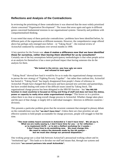### **Reflections and Analysis of the Contradictions**

In reviewing the prioritising of these contradictions it was observed that the most widely prioritised cluster concerned "Organisation Development". The issues that arose again and again in different guises concerned fundamental tensions in our organisational systems / hierarchy and problems with compartmentalised thinking.

It was noted that many of these particular contradictions / problems have been identified before, by different parts of the organisation at different moments. However, the comprehensive range offered above has perhaps only emerged once before – in "Taking Stock" - the external review of ActionAid conducted by consultants over several months in 1999.

A key question for the Forum was: *does it makes a difference now that we have identified these for ourselves, rather than having them identified for us by consultants***?**  Certainly one of the key assumptions behind participatory methodologies is that when people arrive at an analysis for themselves it has a more profound impact than having someone else do the analysis for them.

#### **"We looked in the mirror, saw how ugly we were and refused to look again"**

"Taking Stock" showed how hard it would be for us to make the organisational change necessary to pursue the new strategy of "Fighting Poverty Together" - but rather than confront this, ActionAid has buried it. "Taking Stock" has largely disappeared from people's frame of reference in ActionAid: People have changed their discourse and have pursued new activities and partnerships, but have avoided dealing with some of the difficult issues raised by Taking Stock. The organisational change process has been delegated to the HR/OD function – but **"the HR/OD function in most countries is focused on hiring and firing of staff and does not have the status, power or capacity to really drive wider organisational change."** This leaves us in a position where there is no clear or strong overall change process in ActionAid. Whether change takes place and the pace of that change, is largely left to individual managers / directors in different countries / divisions.

This presents a particular problem given that the recurrent comment that emerged in plenary debate on the contradictions was that **"we don't have time".** Unless there are clear priorities set and effective systems to hold people accountable for change processes, people will struggle to find the time.

#### **"The most widely heard comment in ActionAid is 'I don't have time'. We all say it. What we are really saying is, I don't have time for you – or for reflection – or to implement ALPS – or to join a Reflect workshop for 2 weeks – I don't have time to do something new. We must change this. We need to reduce the demands made by the AA system – but we must also change our personal disposition."**

One working group saw a clear link between ActionAid's pressurised working culture and its "institutional ego". This leads us to devalue our staff and means that, through our systems and structures **"we convert partners into small ActionAids".**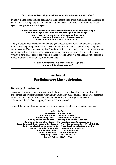#### **"We collect loads of indigenous knowledge but never use it in our office."**

In analysing the contradictions, the knowledge and information group highlighted the challenges of valuing and nurturing people's knowledge – and the need to build bridges between our formal systems and people's informal systems.

#### **"Within ActionAid we collect unprocessed information and data from people and then we synthesise it above and package it as knowledge … and it returns to people as domination, limiting them. How can we ensure that analysis – that processing of information into knowledge - is done below?"**

The gender group welcomed the fact that the gap between gender policy and practice was given high priority by participants and was also considered to be an area in which forum participants could make a difference. However, this should not lead to complacency as our own group dynamics continued to show a serious gap between what we say and what we do in this area. Moreover. whilst we have a new gender policy and a plan for spreading this, it is not clear how this process is linked to other processes of organisational change.

#### **"In ActionAid information is channelled ever upwards and goes into a huge vacuum."**

# Section 4: Participatory Methodologies

#### **Personal Experiences**

A series of 5-minute personal presentations by Forum participants outlined a range of specific experiences and brought up issues surrounding participatory methodologies. These were presented in three panels – one on "Advocacy"; one on "ALPS and Partnerships"; and one on "Communication, Reflect, Stepping Stones and Participation".

Some of the methodologies / approaches / tactics mentioned in these presentations included:

| <b>Reflect</b>                                                                    |
|-----------------------------------------------------------------------------------|
| <b>Report cards</b>                                                               |
| Songs / proverbs                                                                  |
| <b>Community action plans</b>                                                     |
| Working with voices of the poor                                                   |
| <b>Participatory poverty assessments</b>                                          |
| Expanding not filling spaces in key forums<br>Tripartite agreements - AA/NGO/CBOs |
| Identifying pivotal moments / events<br>Micro-level participatory planning        |
| <b>Community newsletters</b><br><b>Budget analysis / monitoring</b>               |
| <b>Creating ceremonies</b><br><b>Community radio</b>                              |
| <b>Cultural festivals</b>                                                         |
| <b>SWOT analyses</b><br><b>Stepping Stones</b>                                    |
| <b>Reflect Action</b><br><b>RTLA</b><br><b>PRA</b>                                |
|                                                                                   |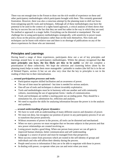There was not enough time in the Forum to draw out the rich wealth of experience on these and other participatory methodologies which participants brought with them. This certainly generated frustration. However, there was also a conscious attempt by the planning team to shift our focus from eulogising specific tools and techniques. Although all of these methodologies may have the potential to be used in the context of a rights based approach, a critical analysis of them shows that the key to success lies not in the fact that they are used but rather in the way in which they are used. No method or approach is a magic bullet. Everything can be distorted or manipulated. The real challenge lies in using participatory methodologies strategically, with sensitivity to power issues and a focus on the process and dynamics rather than on the tools themselves. New tools and techniques can be learnt with relative ease and there is no shortage of publications on any of the above experiences for those who are interested.

#### **Principles and Learnings**

Having heard a range of these experiences, participants drew out a set of key principles and learnings around how to use participatory methodologies. Whilst the plenary recognised that **the more principles you have, the less likely are they to be useful**, we did not complete a prioritisation of these collectively. We hope the selection and clustering below (done by the planning team) helps to make them more manageable / palatable to readers (the full list is in the set of Related Papers, section 2) but we are also very clear that the key to principles is not in the reading of them but in their internalisation.

#### **… around participation processes and tools:**

- Participation requires skilled facilitation and an awareness of power.
- The use of time must be optimised but time is needed for serious analysis.
- One-off use of tools and techniques is almost invariably exploitative.
- Tools and methodologies must be in harmony with one another and with community cultures, maximising the use of appropriate forms / media of communication.
- Tools and techniques are neither a starting point nor an ending point. They should be a stimulation for, not a substitution for, reflection and analysis.
- We need to equalise the skills for analysing information because the power is in the analysis and synthesis.

#### **… around understanding of power dynamics:**

- We have to work with an understanding of many different sources and dynamics of power.
- We must not deny, but recognise our position of power in any participatory process if we are to transform that power positively.
- Without awareness of power in the process, all tools can be distorted and mechanised.
- When we start a process we must recognise that we become subjects in that process and that new power relationships are created involving us.
- Losing power maybe a good thing. When one person loses power we can all gain in improved human relations, better communication and self understanding
- Language is a source of power and must be managed from that perspective.
- Most success comes from processes which are rooted in the self-identity of groups and individuals and who self-affirm their identity during the process.
- People need access to information if they are to be able to negotiate with those in power.
- In dealing with power, co-operate when you can and resist when you must.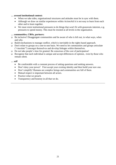#### **… around institutional context:**

- When we take sides, organisational structures and attitudes must be in sync with them.
- Although we draw on similar experiences within ActionAid it is not easy to learn from each other and to learn together.
- We must resist institutional pressures to do things that won't fit with grassroots interests, e.g. pressures to spend money. This must be resisted at all levels in the organisation.

#### **… communities, CBOs, partners:**

- $\Box$  Be inclusive! Disaggregate communities and be aware of who is left out, in what ways, when and why.
- Build mechanisms to manage conflict, which is inevitable in the rights based approach.
- □ Don't relate to groups on a one-to-one basis. We need to let communities and groups articulate ("vinculate"!) amongst themselves and develop linkages within themselves.
- Do not take people's time for granted. Be conscious of the cost of participation!
- $\Box$  Recognise that each individual is unique and accept differences of opinion, even by those who remain silent.

#### **… self**

- Be comfortable with a constant process of asking questions and seeking answers.
- Don't deny your power! First accept your existing identity and then build your new one.
- Don't simplify! Humans are complex beings and communities are full of them.
- Mutual respect is important between all actors.
- Practice what we preach.
- Transparency and honesty in all that we do.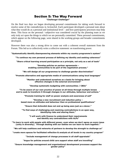# Section 5: The Way Forward

**"Challenge! Challenge!"**

On the final two days we began developing personal commitments for taking work forward to resolve some of the contradictions in ActionAid. Each participant developed a personal note about what they would do at a personal and institutional level – and how participatory processes may help them. This focus on the personal / subjective was considered crucial by the planning team as we only truly act upon the things to which we are personally committed. These personal commitments, which appear on the following page, were shared in the working groups and broader commitments developed.

However there was also a strong drive to come out with a coherent overall statement from the Forum. This led us to collectively write a collective statement: on transforming power.

**"Systematically identify disempowering elements within my country programme's system"**

**"To continue my own personal process of defining my identity and seeking coherence"**

**"Share critical learning around participation as a principle, not only as a set of tools"**

**"Develop policies on partner agreements – enabling communities to be part of the negotiation process."**

**"We will design all our programmes to challenge gender discrimination"**

**"Promote alternative and appropriate media of communications using local languages"**

**"Monitor and understand ourselves as a basis for bringing about effective changes in the external environment"**

**"Develop systematic budgeting with communities / CBOs"**

**"To be aware of our own practice of power at all times through multiple lenses and to seek to transform it through changes in our attitudes, behaviour and actions."**

**"Promote training for staff on power analysis and awareness of self"**

**"Develop a new recruitment and induction policy – based more on attitudes and behaviour than on professional qualifications"**

**"Ensure that ActionAid does not end up being seen just as a donor."**

**"To find ways of challenging and resolving contradictions in an open way, identifying risks and sharing them."**

> **"I will work with finance to understand their requirements and identify any contradictions with ALPs"**

**"To learn to work with people with different power, even when we don't agree on every issue (unity in diversity). Through dealing with our battles we can learn to work together."**

**"We will help coalitions and networks of partners to develop the strength to challenge us"**

**"create more spaces for facilitated reflection & analysis at all levels in my country program"**

**"Include management of change processes in all staff appraisals"**

**"Argue for policies around child care support when staff are travelling"**

**"Ensure knowledge management and organisational development processes support the gender policy"**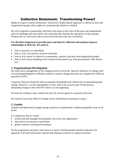# Collective Statement: Transforming Power!

Rights are legal or moral entitlements. ActionAid's Rights Based Approach is centred on poor and marginalised people whose rights are systematically denied or violated.

We will cooperate in partnership with those who listen to the voice of the poor and marginalised, and will challenge and resist those who systematically frustrate the aspirations of these people. Without this we will not be able to move from the old to the new ActionAid.

#### **It is therefore important to provide space and time for reflection and analysis of power relationships at all levels. We need to:**

- look at ourselves as individuals
- look at AA's own practice of power internally
- look at AA's power in relation to communities, partners, and poor and marginalised people
- look at AA's power/standing in the external environment (e.g. with governments, WB, donors etc)

#### **1. Organisational Development**

We need active management of the change process at all levels. Specific indicators of change need to be developed/adapted to different contexts to ensure change processes are completed by 2003 (as specified in FPT).

Corporate Directors should be held accountable individually and collectively for guaranteeing this change. However, it is the responsibility of ALL staff to be an active part of that process, demanding change in line with FPT where it is not happening.

We must be willing to stop, confront the old AA and not ignore it in pursuit of the new.

We must be aware that effective change can be undermined by pressures to grow.

#### **2. Gender**

Attitude and behavioural change among ourselves is fundamental in addressing gender issues at all levels.

It is imperative that we create:

- women-led and managed mixed gender fora across the organisation
- open spaces for spouses to participate
- gender sensitive working environments

On the programme and policy front there is a need to develop gender sensitive indicators for appraisal of all staff and partners and provide adequate resources to support activities.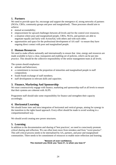#### **1. Partners**

We need to provide space for, encourage and support the emergence of, strong networks of partners (NGOs, CBOs, community groups and poor and marginalised) . These processes should aim to achieve:

- mutual accountability;
- empowerment for upward challenges between all levels and for the control over resources;
- a situation where poor and marginalised people, CBOs, NGOs, and partners are able to negotiate equally and fairly with ActionAid, with others and with each other.
- opportunities and space for the professional development of AA staff to ensure they have ongoing direct contact with poor and marginalised people.

#### **2. Human Resources**

We need to make efforts nationally and internationally to ensure that time, energy and resources are made available to have a clear, transparent and enabling set of policies, which can be put into *practice*. This should be the collective responsibility of the senior management team at all levels.

The system should emphasize:

- attitude and behaviours:
- a commitment to increase the proportion of minorities and marginalised people in staff composition;
- South-South exchange of staff members;
- staff development in relevant skills and capacities.

#### **3. Finance, Marketing And Sponsorship**

We must constructively engage with finance, marketing and sponsorship staff at all levels to ensure that their systems are coherent with ALPS.

Programme staff should take some responsibility for finance and strengthen their capacity accordingly.

#### **4. Horizontal Learning**

We should foster inter and intra integration of horizontal and vertical groups, aiming for synergy in the transition to the rights based approach. Every effort should be made to avoid working in a compartmentalised way.

We should avoid creating new power structures.

#### **5. Learning**

In addition to the documentation and sharing of 'best practices', we need to consciously promote critical sharing and reflection. We can often learn more from mistakes and from "worst practice". This self-critical process needs to be internalised by AA, partners, and poor and marginalised communities. There needs to be commitment of resources to enable more reflection and learning.

> **"Beware of over-confidence. The moment you think you 'have it', is when you lose it"**